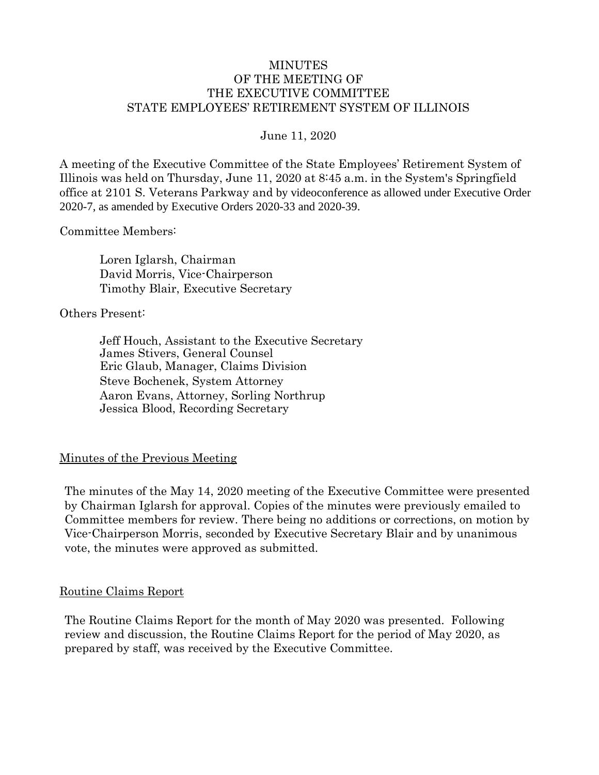### MINUTES OF THE MEETING OF THE EXECUTIVE COMMITTEE STATE EMPLOYEES' RETIREMENT SYSTEM OF ILLINOIS

June 11, 2020

A meeting of the Executive Committee of the State Employees' Retirement System of Illinois was held on Thursday, June 11, 2020 at 8:45 a.m. in the System's Springfield office at 2101 S. Veterans Parkway and by videoconference as allowed under Executive Order 2020-7, as amended by Executive Orders 2020-33 and 2020-39.

Committee Members:

Loren Iglarsh, Chairman David Morris, Vice-Chairperson Timothy Blair, Executive Secretary

Others Present:

Jeff Houch, Assistant to the Executive Secretary James Stivers, General Counsel Eric Glaub, Manager, Claims Division Steve Bochenek, System Attorney Aaron Evans, Attorney, Sorling Northrup Jessica Blood, Recording Secretary

### Minutes of the Previous Meeting

The minutes of the May 14, 2020 meeting of the Executive Committee were presented by Chairman Iglarsh for approval. Copies of the minutes were previously emailed to Committee members for review. There being no additions or corrections, on motion by Vice-Chairperson Morris, seconded by Executive Secretary Blair and by unanimous vote, the minutes were approved as submitted.

#### Routine Claims Report

The Routine Claims Report for the month of May 2020 was presented. Following review and discussion, the Routine Claims Report for the period of May 2020, as prepared by staff, was received by the Executive Committee.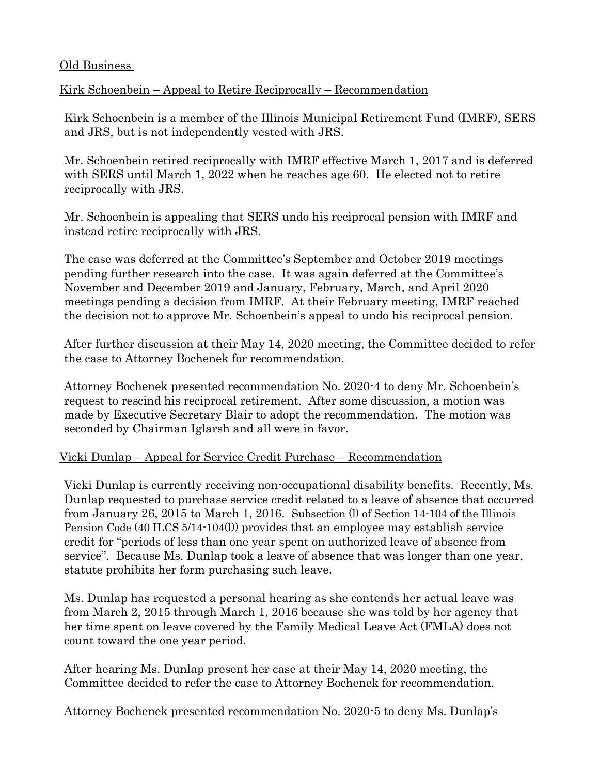### Old Business

# Kirk Schoenbein – Appeal to Retire Reciprocally – Recommendation

Kirk Schoenbein is a member of the Illinois Municipal Retirement Fund (IMRF), SERS and JRS, but is not independently vested with JRS.

Mr. Schoenbein retired reciprocally with IMRF effective March 1, 2017 and is deferred with SERS until March 1, 2022 when he reaches age 60. He elected not to retire reciprocally with JRS.

Mr. Schoenbein is appealing that SERS undo his reciprocal pension with IMRF and instead retire reciprocally with JRS.

The case was deferred at the Committee's September and October 2019 meetings pending further research into the case. It was again deferred at the Committee's November and December 2019 and January, February, March, and April 2020 meetings pending a decision from IMRF. At their February meeting, IMRF reached the decision not to approve Mr. Schoenbein's appeal to undo his reciprocal pension.

After further discussion at their May 14, 2020 meeting, the Committee decided to refer the case to Attorney Bochenek for recommendation.

Attorney Bochenek presented recommendation No. 2020-4 to deny Mr. Schoenbein's request to rescind his reciprocal retirement. After some discussion, a motion was made by Executive Secretary Blair to adopt the recommendation. The motion was seconded by Chairman Iglarsh and all were in favor.

# Vicki Dunlap – Appeal for Service Credit Purchase – Recommendation

Vicki Dunlap is currently receiving non-occupational disability benefits. Recently, Ms. Dunlap requested to purchase service credit related to a leave of absence that occurred from January 26, 2015 to March 1, 2016. Subsection (l) of Section 14-104 of the Illinois Pension Code (40 ILCS 5/14-104(l)) provides that an employee may establish service credit for "periods of less than one year spent on authorized leave of absence from service". Because Ms. Dunlap took a leave of absence that was longer than one year, statute prohibits her form purchasing such leave.

Ms. Dunlap has requested a personal hearing as she contends her actual leave was from March 2, 2015 through March 1, 2016 because she was told by her agency that her time spent on leave covered by the Family Medical Leave Act (FMLA) does not count toward the one year period.

After hearing Ms. Dunlap present her case at their May 14, 2020 meeting, the Committee decided to refer the case to Attorney Bochenek for recommendation.

Attorney Bochenek presented recommendation No. 2020-5 to deny Ms. Dunlap's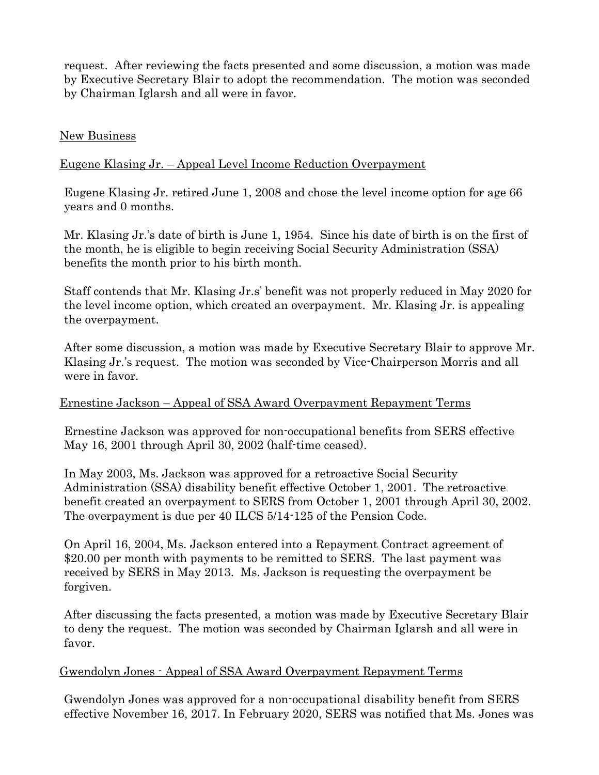request. After reviewing the facts presented and some discussion, a motion was made by Executive Secretary Blair to adopt the recommendation. The motion was seconded by Chairman Iglarsh and all were in favor.

### New Business

# Eugene Klasing Jr. – Appeal Level Income Reduction Overpayment

Eugene Klasing Jr. retired June 1, 2008 and chose the level income option for age 66 years and 0 months.

Mr. Klasing Jr.'s date of birth is June 1, 1954. Since his date of birth is on the first of the month, he is eligible to begin receiving Social Security Administration (SSA) benefits the month prior to his birth month.

Staff contends that Mr. Klasing Jr.s' benefit was not properly reduced in May 2020 for the level income option, which created an overpayment. Mr. Klasing Jr. is appealing the overpayment.

After some discussion, a motion was made by Executive Secretary Blair to approve Mr. Klasing Jr.'s request. The motion was seconded by Vice-Chairperson Morris and all were in favor.

### Ernestine Jackson – Appeal of SSA Award Overpayment Repayment Terms

Ernestine Jackson was approved for non-occupational benefits from SERS effective May 16, 2001 through April 30, 2002 (half-time ceased).

In May 2003, Ms. Jackson was approved for a retroactive Social Security Administration (SSA) disability benefit effective October 1, 2001. The retroactive benefit created an overpayment to SERS from October 1, 2001 through April 30, 2002. The overpayment is due per 40 ILCS 5/14-125 of the Pension Code.

On April 16, 2004, Ms. Jackson entered into a Repayment Contract agreement of \$20.00 per month with payments to be remitted to SERS. The last payment was received by SERS in May 2013. Ms. Jackson is requesting the overpayment be forgiven.

After discussing the facts presented, a motion was made by Executive Secretary Blair to deny the request. The motion was seconded by Chairman Iglarsh and all were in favor.

### Gwendolyn Jones - Appeal of SSA Award Overpayment Repayment Terms

Gwendolyn Jones was approved for a non-occupational disability benefit from SERS effective November 16, 2017. In February 2020, SERS was notified that Ms. Jones was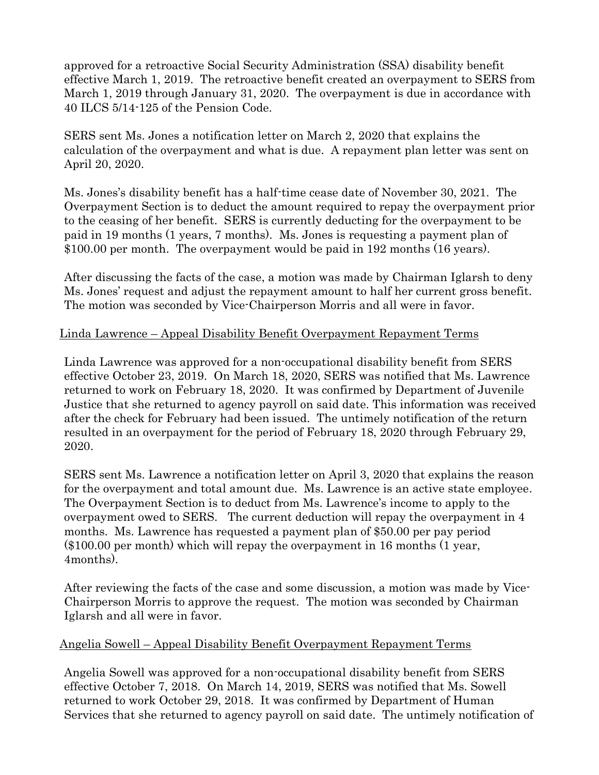approved for a retroactive Social Security Administration (SSA) disability benefit effective March 1, 2019. The retroactive benefit created an overpayment to SERS from March 1, 2019 through January 31, 2020. The overpayment is due in accordance with 40 ILCS 5/14-125 of the Pension Code.

SERS sent Ms. Jones a notification letter on March 2, 2020 that explains the calculation of the overpayment and what is due. A repayment plan letter was sent on April 20, 2020.

Ms. Jones's disability benefit has a half-time cease date of November 30, 2021. The Overpayment Section is to deduct the amount required to repay the overpayment prior to the ceasing of her benefit. SERS is currently deducting for the overpayment to be paid in 19 months (1 years, 7 months). Ms. Jones is requesting a payment plan of \$100.00 per month. The overpayment would be paid in 192 months (16 years).

After discussing the facts of the case, a motion was made by Chairman Iglarsh to deny Ms. Jones' request and adjust the repayment amount to half her current gross benefit. The motion was seconded by Vice-Chairperson Morris and all were in favor.

# Linda Lawrence – Appeal Disability Benefit Overpayment Repayment Terms

Linda Lawrence was approved for a non-occupational disability benefit from SERS effective October 23, 2019. On March 18, 2020, SERS was notified that Ms. Lawrence returned to work on February 18, 2020. It was confirmed by Department of Juvenile Justice that she returned to agency payroll on said date. This information was received after the check for February had been issued. The untimely notification of the return resulted in an overpayment for the period of February 18, 2020 through February 29, 2020.

SERS sent Ms. Lawrence a notification letter on April 3, 2020 that explains the reason for the overpayment and total amount due. Ms. Lawrence is an active state employee. The Overpayment Section is to deduct from Ms. Lawrence's income to apply to the overpayment owed to SERS. The current deduction will repay the overpayment in 4 months. Ms. Lawrence has requested a payment plan of \$50.00 per pay period (\$100.00 per month) which will repay the overpayment in 16 months (1 year, 4months).

After reviewing the facts of the case and some discussion, a motion was made by Vice-Chairperson Morris to approve the request. The motion was seconded by Chairman Iglarsh and all were in favor.

### Angelia Sowell – Appeal Disability Benefit Overpayment Repayment Terms

Angelia Sowell was approved for a non-occupational disability benefit from SERS effective October 7, 2018. On March 14, 2019, SERS was notified that Ms. Sowell returned to work October 29, 2018. It was confirmed by Department of Human Services that she returned to agency payroll on said date. The untimely notification of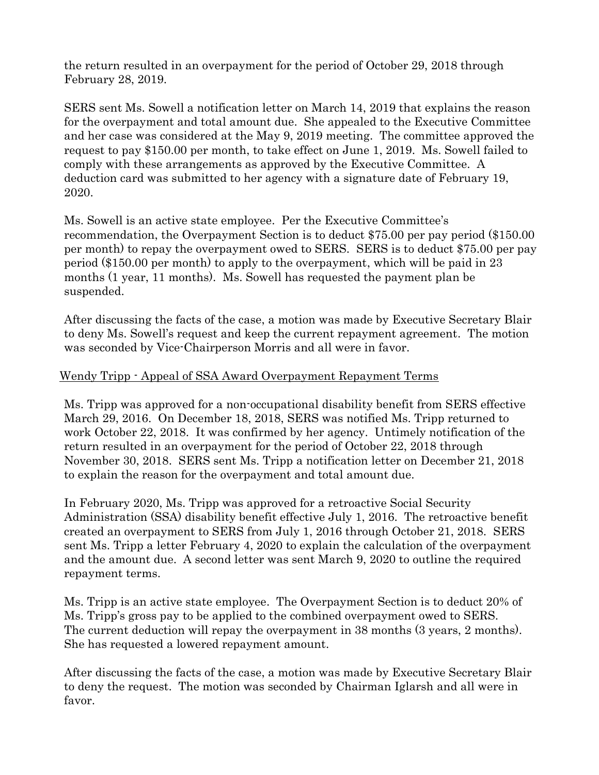the return resulted in an overpayment for the period of October 29, 2018 through February 28, 2019.

SERS sent Ms. Sowell a notification letter on March 14, 2019 that explains the reason for the overpayment and total amount due. She appealed to the Executive Committee and her case was considered at the May 9, 2019 meeting. The committee approved the request to pay \$150.00 per month, to take effect on June 1, 2019. Ms. Sowell failed to comply with these arrangements as approved by the Executive Committee. A deduction card was submitted to her agency with a signature date of February 19, 2020.

Ms. Sowell is an active state employee. Per the Executive Committee's recommendation, the Overpayment Section is to deduct \$75.00 per pay period (\$150.00 per month) to repay the overpayment owed to SERS. SERS is to deduct \$75.00 per pay period (\$150.00 per month) to apply to the overpayment, which will be paid in 23 months (1 year, 11 months). Ms. Sowell has requested the payment plan be suspended.

After discussing the facts of the case, a motion was made by Executive Secretary Blair to deny Ms. Sowell's request and keep the current repayment agreement. The motion was seconded by Vice-Chairperson Morris and all were in favor.

### Wendy Tripp - Appeal of SSA Award Overpayment Repayment Terms

Ms. Tripp was approved for a non-occupational disability benefit from SERS effective March 29, 2016. On December 18, 2018, SERS was notified Ms. Tripp returned to work October 22, 2018. It was confirmed by her agency. Untimely notification of the return resulted in an overpayment for the period of October 22, 2018 through November 30, 2018. SERS sent Ms. Tripp a notification letter on December 21, 2018 to explain the reason for the overpayment and total amount due.

In February 2020, Ms. Tripp was approved for a retroactive Social Security Administration (SSA) disability benefit effective July 1, 2016. The retroactive benefit created an overpayment to SERS from July 1, 2016 through October 21, 2018. SERS sent Ms. Tripp a letter February 4, 2020 to explain the calculation of the overpayment and the amount due. A second letter was sent March 9, 2020 to outline the required repayment terms.

Ms. Tripp is an active state employee. The Overpayment Section is to deduct 20% of Ms. Tripp's gross pay to be applied to the combined overpayment owed to SERS. The current deduction will repay the overpayment in 38 months (3 years, 2 months). She has requested a lowered repayment amount.

After discussing the facts of the case, a motion was made by Executive Secretary Blair to deny the request. The motion was seconded by Chairman Iglarsh and all were in favor.